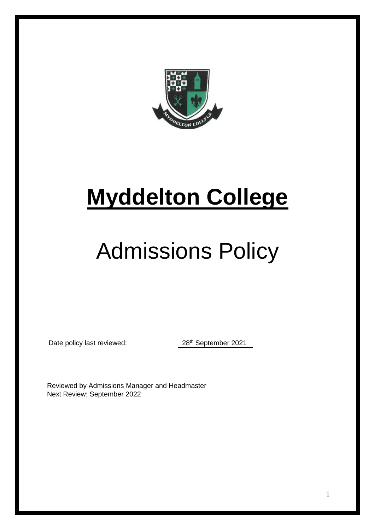

# **Myddelton College**

# Admissions Policy

Date policy last reviewed: 28<sup>th</sup> September 2021

Reviewed by Admissions Manager and Headmaster Next Review: September 2022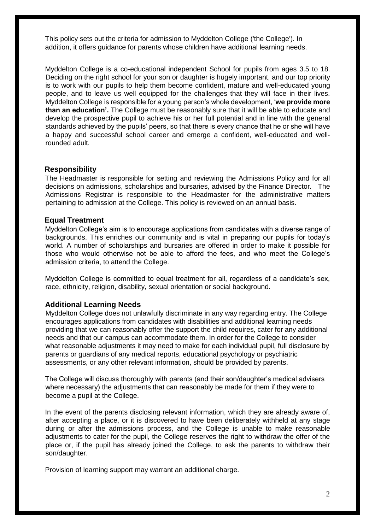This policy sets out the criteria for admission to Myddelton College ('the College'). In addition, it offers guidance for parents whose children have additional learning needs.

Myddelton College is a co-educational independent School for pupils from ages 3.5 to 18. Deciding on the right school for your son or daughter is hugely important, and our top priority is to work with our pupils to help them become confident, mature and well-educated young people, and to leave us well equipped for the challenges that they will face in their lives. Myddelton College is responsible for a young person's whole development, '**we provide more than an education'.** The College must be reasonably sure that it will be able to educate and develop the prospective pupil to achieve his or her full potential and in line with the general standards achieved by the pupils' peers, so that there is every chance that he or she will have a happy and successful school career and emerge a confident, well-educated and wellrounded adult.

#### **Responsibility**

The Headmaster is responsible for setting and reviewing the Admissions Policy and for all decisions on admissions, scholarships and bursaries, advised by the Finance Director. The Admissions Registrar is responsible to the Headmaster for the administrative matters pertaining to admission at the College. This policy is reviewed on an annual basis.

#### **Equal Treatment**

Myddelton College's aim is to encourage applications from candidates with a diverse range of backgrounds. This enriches our community and is vital in preparing our pupils for today's world. A number of scholarships and bursaries are offered in order to make it possible for those who would otherwise not be able to afford the fees, and who meet the College's admission criteria, to attend the College.

Myddelton College is committed to equal treatment for all, regardless of a candidate's sex, race, ethnicity, religion, disability, sexual orientation or social background.

#### **Additional Learning Needs**

Myddelton College does not unlawfully discriminate in any way regarding entry. The College encourages applications from candidates with disabilities and additional learning needs providing that we can reasonably offer the support the child requires, cater for any additional needs and that our campus can accommodate them. In order for the College to consider what reasonable adjustments it may need to make for each individual pupil, full disclosure by parents or guardians of any medical reports, educational psychology or psychiatric assessments, or any other relevant information, should be provided by parents.

The College will discuss thoroughly with parents (and their son/daughter's medical advisers where necessary) the adjustments that can reasonably be made for them if they were to become a pupil at the College.

In the event of the parents disclosing relevant information, which they are already aware of, after accepting a place, or it is discovered to have been deliberately withheld at any stage during or after the admissions process, and the College is unable to make reasonable adjustments to cater for the pupil, the College reserves the right to withdraw the offer of the place or, if the pupil has already joined the College, to ask the parents to withdraw their son/daughter.

Provision of learning support may warrant an additional charge.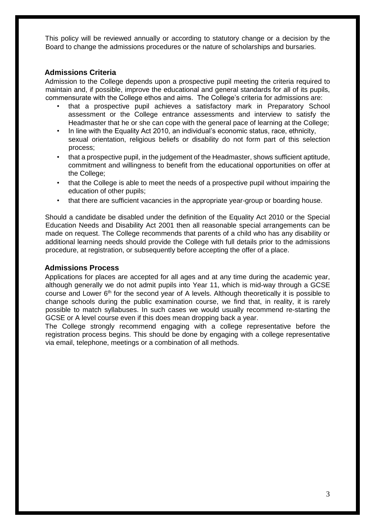This policy will be reviewed annually or according to statutory change or a decision by the Board to change the admissions procedures or the nature of scholarships and bursaries.

## **Admissions Criteria**

Admission to the College depends upon a prospective pupil meeting the criteria required to maintain and, if possible, improve the educational and general standards for all of its pupils, commensurate with the College ethos and aims. The College's criteria for admissions are:

- that a prospective pupil achieves a satisfactory mark in Preparatory School assessment or the College entrance assessments and interview to satisfy the Headmaster that he or she can cope with the general pace of learning at the College;
- In line with the Equality Act 2010, an individual's economic status, race, ethnicity, sexual orientation, religious beliefs or disability do not form part of this selection process;
- that a prospective pupil, in the judgement of the Headmaster, shows sufficient aptitude, commitment and willingness to benefit from the educational opportunities on offer at the College;
- that the College is able to meet the needs of a prospective pupil without impairing the education of other pupils;
- that there are sufficient vacancies in the appropriate year-group or boarding house.

Should a candidate be disabled under the definition of the Equality Act 2010 or the Special Education Needs and Disability Act 2001 then all reasonable special arrangements can be made on request. The College recommends that parents of a child who has any disability or additional learning needs should provide the College with full details prior to the admissions procedure, at registration, or subsequently before accepting the offer of a place.

## **Admissions Process**

Applications for places are accepted for all ages and at any time during the academic year, although generally we do not admit pupils into Year 11, which is mid-way through a GCSE course and Lower  $6<sup>th</sup>$  for the second year of A levels. Although theoretically it is possible to change schools during the public examination course, we find that, in reality, it is rarely possible to match syllabuses. In such cases we would usually recommend re-starting the GCSE or A level course even if this does mean dropping back a year.

The College strongly recommend engaging with a college representative before the registration process begins. This should be done by engaging with a college representative via email, telephone, meetings or a combination of all methods.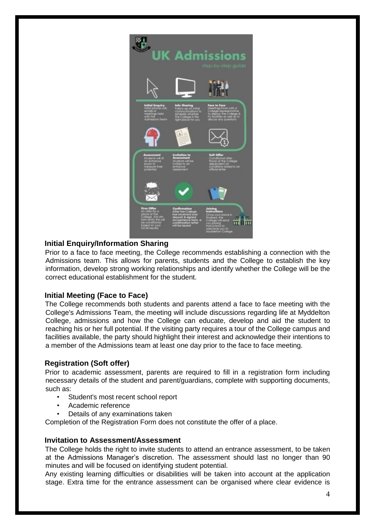

# **Initial Enquiry/Information Sharing**

Prior to a face to face meeting, the College recommends establishing a connection with the Admissions team. This allows for parents, students and the College to establish the key information, develop strong working relationships and identify whether the College will be the correct educational establishment for the student.

# **Initial Meeting (Face to Face)**

The College recommends both students and parents attend a face to face meeting with the College's Admissions Team, the meeting will include discussions regarding life at Myddelton College, admissions and how the College can educate, develop and aid the student to reaching his or her full potential. If the visiting party requires a tour of the College campus and facilities available, the party should highlight their interest and acknowledge their intentions to a member of the Admissions team at least one day prior to the face to face meeting.

## **Registration (Soft offer)**

Prior to academic assessment, parents are required to fill in a registration form including necessary details of the student and parent/guardians, complete with supporting documents, such as:

- Student's most recent school report
- Academic reference
- Details of any examinations taken

Completion of the Registration Form does not constitute the offer of a place.

## **Invitation to Assessment/Assessment**

The College holds the right to invite students to attend an entrance assessment, to be taken at the Admissions Manager's discretion. The assessment should last no longer than 90 minutes and will be focused on identifying student potential.

Any existing learning difficulties or disabilities will be taken into account at the application stage. Extra time for the entrance assessment can be organised where clear evidence is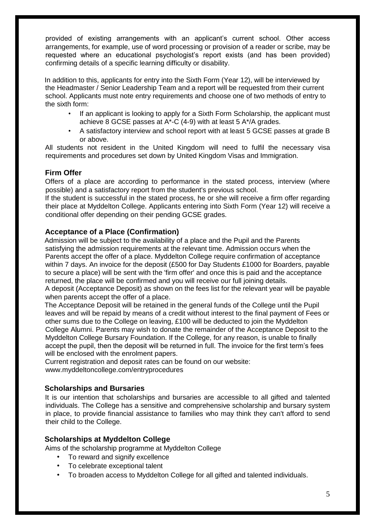provided of existing arrangements with an applicant's current school. Other access arrangements, for example, use of word processing or provision of a reader or scribe, may be requested where an educational psychologist's report exists (and has been provided) confirming details of a specific learning difficulty or disability.

In addition to this, applicants for entry into the Sixth Form (Year 12), will be interviewed by the Headmaster / Senior Leadership Team and a report will be requested from their current school. Applicants must note entry requirements and choose one of two methods of entry to the sixth form:

- If an applicant is looking to apply for a Sixth Form Scholarship, the applicant must achieve 8 GCSE passes at A\*-C (4-9) with at least 5 A\*/A grades.
- A satisfactory interview and school report with at least 5 GCSE passes at grade B or above.

All students not resident in the United Kingdom will need to fulfil the necessary visa requirements and procedures set down by United Kingdom Visas and Immigration.

# **Firm Offer**

Offers of a place are according to performance in the stated process, interview (where possible) and a satisfactory report from the student's previous school.

If the student is successful in the stated process, he or she will receive a firm offer regarding their place at Myddelton College. Applicants entering into Sixth Form (Year 12) will receive a conditional offer depending on their pending GCSE grades.

# **Acceptance of a Place (Confirmation)**

Admission will be subject to the availability of a place and the Pupil and the Parents satisfying the admission requirements at the relevant time. Admission occurs when the Parents accept the offer of a place. Myddelton College require confirmation of acceptance within 7 days. An invoice for the deposit (£500 for Day Students £1000 for Boarders, payable to secure a place) will be sent with the 'firm offer' and once this is paid and the acceptance returned, the place will be confirmed and you will receive our full joining details.

A deposit (Acceptance Deposit) as shown on the fees list for the relevant year will be payable when parents accept the offer of a place.

The Acceptance Deposit will be retained in the general funds of the College until the Pupil leaves and will be repaid by means of a credit without interest to the final payment of Fees or other sums due to the College on leaving, £100 will be deducted to join the Myddelton College Alumni. Parents may wish to donate the remainder of the Acceptance Deposit to the Myddelton College Bursary Foundation. If the College, for any reason, is unable to finally accept the pupil, then the deposit will be returned in full. The invoice for the first term's fees will be enclosed with the enrolment papers.

Current registration and deposit rates can be found on our website: www.myddeltoncollege.com/entryprocedures

# **Scholarships and Bursaries**

It is our intention that scholarships and bursaries are accessible to all gifted and talented individuals. The College has a sensitive and comprehensive scholarship and bursary system in place, to provide financial assistance to families who may think they can't afford to send their child to the College.

# **Scholarships at Myddelton College**

Aims of the scholarship programme at Myddelton College

- To reward and signify excellence
- To celebrate exceptional talent
- To broaden access to Myddelton College for all gifted and talented individuals.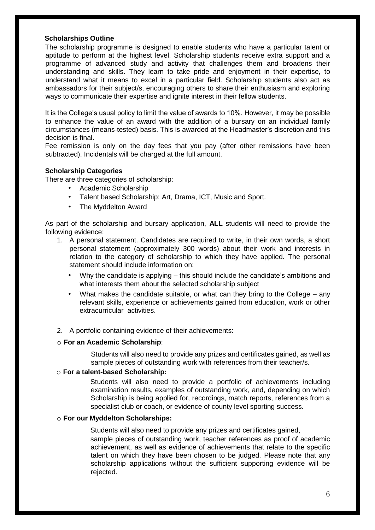## **Scholarships Outline**

The scholarship programme is designed to enable students who have a particular talent or aptitude to perform at the highest level. Scholarship students receive extra support and a programme of advanced study and activity that challenges them and broadens their understanding and skills. They learn to take pride and enjoyment in their expertise, to understand what it means to excel in a particular field. Scholarship students also act as ambassadors for their subject/s, encouraging others to share their enthusiasm and exploring ways to communicate their expertise and ignite interest in their fellow students.

It is the College's usual policy to limit the value of awards to 10%. However, it may be possible to enhance the value of an award with the addition of a bursary on an individual family circumstances (means-tested) basis. This is awarded at the Headmaster's discretion and this decision is final.

Fee remission is only on the day fees that you pay (after other remissions have been subtracted). Incidentals will be charged at the full amount.

#### **Scholarship Categories**

There are three categories of scholarship:

- Academic Scholarship
- Talent based Scholarship: Art, Drama, ICT, Music and Sport.
- The Myddelton Award

As part of the scholarship and bursary application, **ALL** students will need to provide the following evidence:

- 1. A personal statement. Candidates are required to write, in their own words, a short personal statement (approximately 300 words) about their work and interests in relation to the category of scholarship to which they have applied. The personal statement should include information on:
	- Why the candidate is applying this should include the candidate's ambitions and what interests them about the selected scholarship subject
	- What makes the candidate suitable, or what can they bring to the College  $-$  any relevant skills, experience or achievements gained from education, work or other extracurricular activities.
- 2. A portfolio containing evidence of their achievements:

#### o **For an Academic Scholarship**:

Students will also need to provide any prizes and certificates gained, as well as sample pieces of outstanding work with references from their teacher/s.

#### o **For a talent-based Scholarship:**

Students will also need to provide a portfolio of achievements including examination results, examples of outstanding work, and, depending on which Scholarship is being applied for, recordings, match reports, references from a specialist club or coach, or evidence of county level sporting success.

#### o **For our Myddelton Scholarships:**

Students will also need to provide any prizes and certificates gained, sample pieces of outstanding work, teacher references as proof of academic achievement, as well as evidence of achievements that relate to the specific talent on which they have been chosen to be judged. Please note that any scholarship applications without the sufficient supporting evidence will be rejected.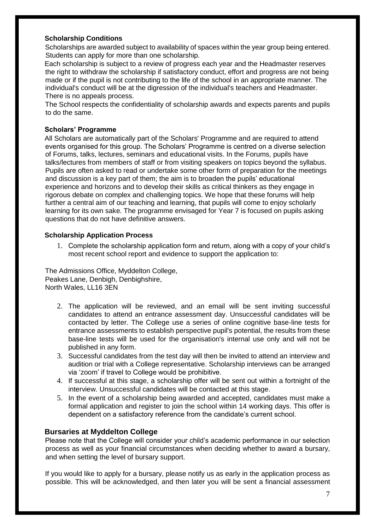## **Scholarship Conditions**

Scholarships are awarded subject to availability of spaces within the year group being entered. Students can apply for more than one scholarship.

Each scholarship is subject to a review of progress each year and the Headmaster reserves the right to withdraw the scholarship if satisfactory conduct, effort and progress are not being made or if the pupil is not contributing to the life of the school in an appropriate manner. The individual's conduct will be at the digression of the individual's teachers and Headmaster. There is no appeals process.

The School respects the confidentiality of scholarship awards and expects parents and pupils to do the same.

## **Scholars' Programme**

All Scholars are automatically part of the Scholars' Programme and are required to attend events organised for this group. The Scholars' Programme is centred on a diverse selection of Forums, talks, lectures, seminars and educational visits. In the Forums, pupils have talks/lectures from members of staff or from visiting speakers on topics beyond the syllabus. Pupils are often asked to read or undertake some other form of preparation for the meetings and discussion is a key part of them; the aim is to broaden the pupils' educational experience and horizons and to develop their skills as critical thinkers as they engage in rigorous debate on complex and challenging topics. We hope that these forums will help further a central aim of our teaching and learning, that pupils will come to enjoy scholarly learning for its own sake. The programme envisaged for Year 7 is focused on pupils asking questions that do not have definitive answers.

#### **Scholarship Application Process**

1. Complete the scholarship application form and return, along with a copy of your child's most recent school report and evidence to support the application to:

The Admissions Office, Myddelton College, Peakes Lane, Denbigh, Denbighshire, North Wales, LL16 3EN

- 2. The application will be reviewed, and an email will be sent inviting successful candidates to attend an entrance assessment day. Unsuccessful candidates will be contacted by letter. The College use a series of online cognitive base-line tests for entrance assessments to establish perspective pupil's potential, the results from these base-line tests will be used for the organisation's internal use only and will not be published in any form.
- 3. Successful candidates from the test day will then be invited to attend an interview and audition or trial with a College representative. Scholarship interviews can be arranged via 'zoom' if travel to College would be prohibitive.
- 4. If successful at this stage, a scholarship offer will be sent out within a fortnight of the interview. Unsuccessful candidates will be contacted at this stage.
- 5. In the event of a scholarship being awarded and accepted, candidates must make a formal application and register to join the school within 14 working days. This offer is dependent on a satisfactory reference from the candidate's current school.

## **Bursaries at Myddelton College**

Please note that the College will consider your child's academic performance in our selection process as well as your financial circumstances when deciding whether to award a bursary, and when setting the level of bursary support.

If you would like to apply for a bursary, please notify us as early in the application process as possible. This will be acknowledged, and then later you will be sent a financial assessment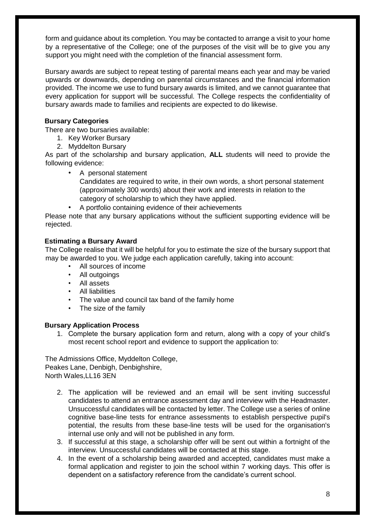form and guidance about its completion. You may be contacted to arrange a visit to your home by a representative of the College; one of the purposes of the visit will be to give you any support you might need with the completion of the financial assessment form.

Bursary awards are subject to repeat testing of parental means each year and may be varied upwards or downwards, depending on parental circumstances and the financial information provided. The income we use to fund bursary awards is limited, and we cannot guarantee that every application for support will be successful. The College respects the confidentiality of bursary awards made to families and recipients are expected to do likewise.

# **Bursary Categories**

There are two bursaries available:

- 1. Key Worker Bursary
- 2. Myddelton Bursary

As part of the scholarship and bursary application, **ALL** students will need to provide the following evidence:

- A personal statement Candidates are required to write, in their own words, a short personal statement (approximately 300 words) about their work and interests in relation to the category of scholarship to which they have applied.
	- A portfolio containing evidence of their achievements

Please note that any bursary applications without the sufficient supporting evidence will be rejected.

## **Estimating a Bursary Award**

The College realise that it will be helpful for you to estimate the size of the bursary support that may be awarded to you. We judge each application carefully, taking into account:

- All sources of income
- All outgoings
- All assets
- All liabilities
- The value and council tax band of the family home
- The size of the family

# **Bursary Application Process**

1. Complete the bursary application form and return, along with a copy of your child's most recent school report and evidence to support the application to:

The Admissions Office, Myddelton College, Peakes Lane, Denbigh, Denbighshire, North Wales,LL16 3EN

- 2. The application will be reviewed and an email will be sent inviting successful candidates to attend an entrance assessment day and interview with the Headmaster. Unsuccessful candidates will be contacted by letter. The College use a series of online cognitive base-line tests for entrance assessments to establish perspective pupil's potential, the results from these base-line tests will be used for the organisation's internal use only and will not be published in any form.
- 3. If successful at this stage, a scholarship offer will be sent out within a fortnight of the interview. Unsuccessful candidates will be contacted at this stage.
- 4. In the event of a scholarship being awarded and accepted, candidates must make a formal application and register to join the school within 7 working days. This offer is dependent on a satisfactory reference from the candidate's current school.